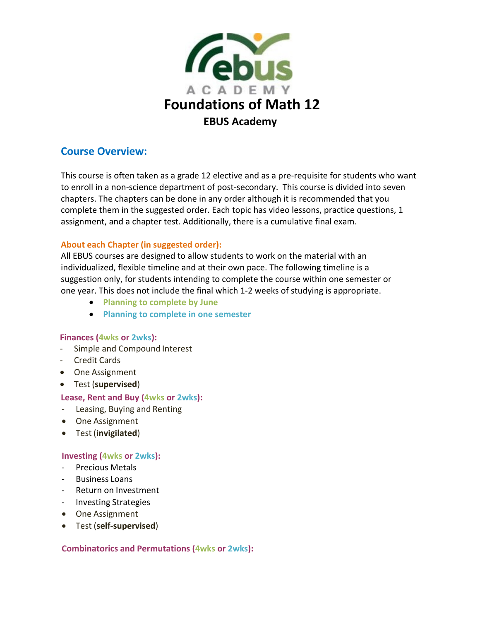

# **Course Overview:**

This course is often taken as a grade 12 elective and as a pre-requisite for students who want to enroll in a non-science department of post-secondary. This course is divided into seven chapters. The chapters can be done in any order although it is recommended that you complete them in the suggested order. Each topic has video lessons, practice questions, 1 assignment, and a chapter test. Additionally, there is a cumulative final exam.

# **About each Chapter (in suggested order):**

All EBUS courses are designed to allow students to work on the material with an individualized, flexible timeline and at their own pace. The following timeline is a suggestion only, for students intending to complete the course within one semester or one year. This does not include the final which 1-2 weeks of studying is appropriate.

- **Planning to complete by June**
- **Planning to complete in one semester**

## **Finances (4wks or 2wks):**

- Simple and Compound Interest
- Credit Cards
- One Assignment
- Test (**supervised**)

## **Lease, Rent and Buy (4wks or 2wks):**

- Leasing, Buying and Renting
- One Assignment
- Test (**invigilated**)

## **Investing (4wks or 2wks):**

- Precious Metals
- **Business Loans**
- Return on Investment
- Investing Strategies
- One Assignment
- Test (**self-supervised**)

## **Combinatorics and Permutations (4wks or 2wks):**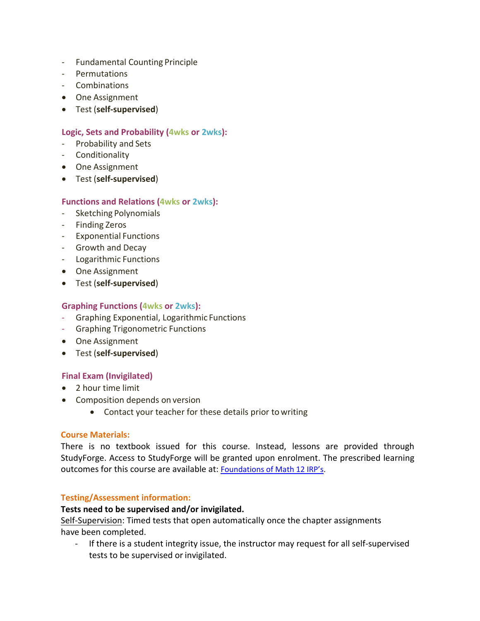- Fundamental Counting Principle
- Permutations
- Combinations
- One Assignment
- Test (**self-supervised**)

## **Logic, Sets and Probability (4wks or 2wks):**

- Probability and Sets
- Conditionality
- One Assignment
- Test (**self-supervised**)

## **Functions and Relations (4wks or 2wks):**

- Sketching Polynomials
- Finding Zeros
- Exponential Functions
- Growth and Decay
- Logarithmic Functions
- One Assignment
- Test (**self-supervised**)

# **Graphing Functions (4wks or 2wks):**

- Graphing Exponential, Logarithmic Functions
- Graphing Trigonometric Functions
- One Assignment
- Test (**self-supervised**)

## **Final Exam (Invigilated)**

- 2 hour time limit
- Composition depends on version
	- Contact your teacher for these details prior towriting

## **Course Materials:**

There is no textbook issued for this course. Instead, lessons are provided through StudyForge. Access to StudyForge will be granted upon enrolment. The prescribed learning outcomes for this course are available at: [Foundations of Math 12 IRP's.](https://www.bced.gov.bc.ca/irp/pdfs/mathematics/WNCPmath1012/2008math_foundations12.pdf)

## **Testing/Assessment information:**

## **Tests need to be supervised and/or invigilated.**

Self-Supervision: Timed tests that open automatically once the chapter assignments have been completed.

- If there is a student integrity issue, the instructor may request for all self-supervised tests to be supervised or invigilated.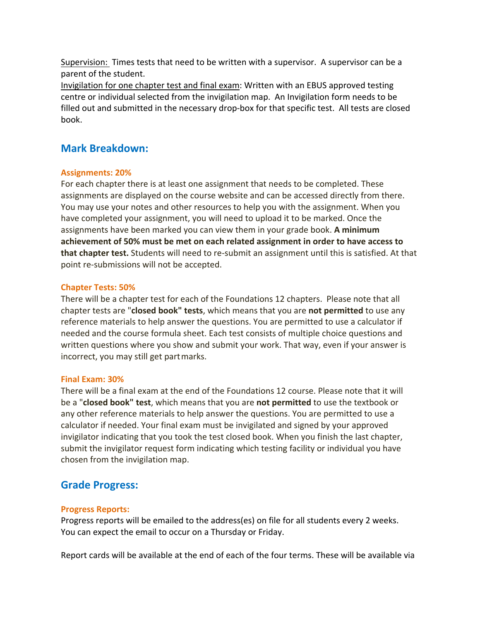Supervision: Times tests that need to be written with a supervisor. A supervisor can be a parent of the student.

Invigilation for one chapter test and final exam: Written with an EBUS approved testing centre or individual selected from the invigilation map. An Invigilation form needs to be filled out and submitted in the necessary drop-box for that specific test. All tests are closed book.

# **Mark Breakdown:**

#### **Assignments: 20%**

For each chapter there is at least one assignment that needs to be completed. These assignments are displayed on the course website and can be accessed directly from there. You may use your notes and other resources to help you with the assignment. When you have completed your assignment, you will need to upload it to be marked. Once the assignments have been marked you can view them in your grade book. **A minimum achievement of 50% must be met on each related assignment in order to have access to that chapter test.** Students will need to re-submit an assignment until this is satisfied. At that point re-submissions will not be accepted.

## **Chapter Tests: 50%**

There will be a chapter test for each of the Foundations 12 chapters. Please note that all chapter tests are "**closed book" tests**, which means that you are **not permitted** to use any reference materials to help answer the questions. You are permitted to use a calculator if needed and the course formula sheet. Each test consists of multiple choice questions and written questions where you show and submit your work. That way, even if your answer is incorrect, you may still get partmarks.

#### **Final Exam: 30%**

There will be a final exam at the end of the Foundations 12 course. Please note that it will be a "**closed book" test**, which means that you are **not permitted** to use the textbook or any other reference materials to help answer the questions. You are permitted to use a calculator if needed. Your final exam must be invigilated and signed by your approved invigilator indicating that you took the test closed book. When you finish the last chapter, submit the invigilator request form indicating which testing facility or individual you have chosen from the invigilation map.

# **Grade Progress:**

## **Progress Reports:**

Progress reports will be emailed to the address(es) on file for all students every 2 weeks. You can expect the email to occur on a Thursday or Friday.

Report cards will be available at the end of each of the four terms. These will be available via